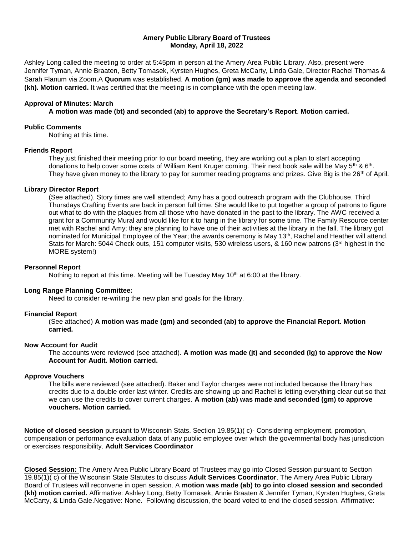### **Amery Public Library Board of Trustees Monday, April 18, 2022**

Ashley Long called the meeting to order at 5:45pm in person at the Amery Area Public Library. Also, present were Jennifer Tyman, Annie Braaten, Betty Tomasek, Kyrsten Hughes, Greta McCarty, Linda Gale, Director Rachel Thomas & Sarah Flanum via Zoom.A **Quorum** was established. **A motion (gm) was made to approve the agenda and seconded (kh). Motion carried.** It was certified that the meeting is in compliance with the open meeting law.

#### **Approval of Minutes: March**

**A motion was made (bt) and seconded (ab) to approve the Secretary's Report**. **Motion carried.**

#### **Public Comments**

Nothing at this time.

# **Friends Report**

They just finished their meeting prior to our board meeting, they are working out a plan to start accepting donations to help cover some costs of William Kent Kruger coming. Their next book sale will be May 5<sup>th</sup> & 6<sup>th</sup>. They have given money to the library to pay for summer reading programs and prizes. Give Big is the 26<sup>th</sup> of April.

#### **Library Director Report**

(See attached). Story times are well attended; Amy has a good outreach program with the Clubhouse. Third Thursdays Crafting Events are back in person full time. She would like to put together a group of patrons to figure out what to do with the plaques from all those who have donated in the past to the library. The AWC received a grant for a Community Mural and would like for it to hang in the library for some time. The Family Resource center met with Rachel and Amy; they are planning to have one of their activities at the library in the fall. The library got nominated for Municipal Employee of the Year; the awards ceremony is May 13th, Rachel and Heather will attend. Stats for March: 5044 Check outs, 151 computer visits, 530 wireless users, & 160 new patrons (3<sup>rd</sup> highest in the MORE system!)

#### **Personnel Report**

Nothing to report at this time. Meeting will be Tuesday May  $10<sup>th</sup>$  at 6:00 at the library.

# **Long Range Planning Committee:**

Need to consider re-writing the new plan and goals for the library.

# **Financial Report**

(See attached) **A motion was made (gm) and seconded (ab) to approve the Financial Report. Motion carried.** 

#### **Now Account for Audit**

The accounts were reviewed (see attached). **A motion was made (jt) and seconded (lg) to approve the Now Account for Audit. Motion carried.** 

# **Approve Vouchers**

The bills were reviewed (see attached). Baker and Taylor charges were not included because the library has credits due to a double order last winter. Credits are showing up and Rachel is letting everything clear out so that we can use the credits to cover current charges. **A motion (ab) was made and seconded (gm) to approve vouchers. Motion carried.** 

**Notice of closed session** pursuant to Wisconsin Stats. Section 19.85(1)( c)- Considering employment, promotion, compensation or performance evaluation data of any public employee over which the governmental body has jurisdiction or exercises responsibility. **Adult Services Coordinator**

**Closed Session:** The Amery Area Public Library Board of Trustees may go into Closed Session pursuant to Section 19.85(1)( c) of the Wisconsin State Statutes to discuss **Adult Services Coordinator**. The Amery Area Public Library Board of Trustees will reconvene in open session. A **motion was made (ab) to go into closed session and seconded (kh) motion carried.** Affirmative: Ashley Long, Betty Tomasek, Annie Braaten & Jennifer Tyman, Kyrsten Hughes, Greta McCarty, & Linda Gale.Negative: None. Following discussion, the board voted to end the closed session. Affirmative: